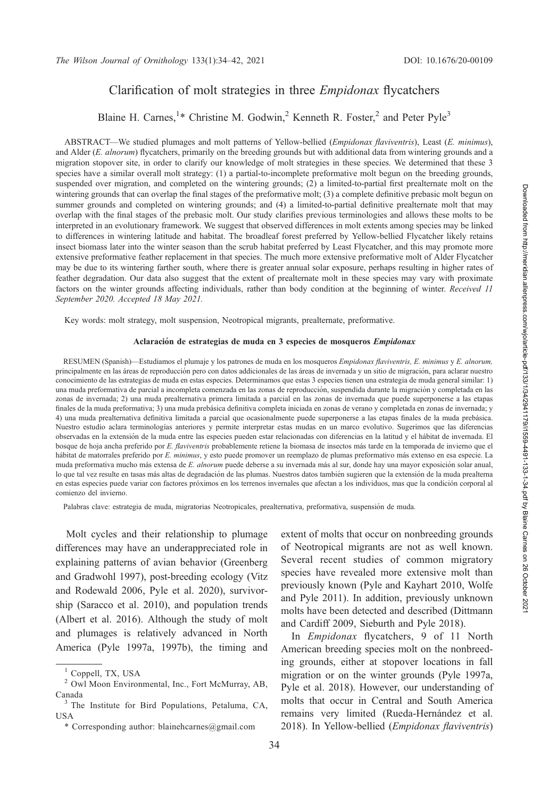## Clarification of molt strategies in three Empidonax flycatchers

# Blaine H. Carnes,<sup>1</sup>\* Christine M. Godwin,<sup>2</sup> Kenneth R. Foster,<sup>2</sup> and Peter Pyle<sup>3</sup>

ABSTRACT—We studied plumages and molt patterns of Yellow-bellied (Empidonax flaviventris), Least (E. minimus), and Alder (E. alnorum) flycatchers, primarily on the breeding grounds but with additional data from wintering grounds and a migration stopover site, in order to clarify our knowledge of molt strategies in these species. We determined that these 3 species have a similar overall molt strategy: (1) a partial-to-incomplete preformative molt begun on the breeding grounds, suspended over migration, and completed on the wintering grounds; (2) a limited-to-partial first prealternate molt on the wintering grounds that can overlap the final stages of the preformative molt; (3) a complete definitive prebasic molt begun on summer grounds and completed on wintering grounds; and (4) a limited-to-partial definitive prealternate molt that may overlap with the final stages of the prebasic molt. Our study clarifies previous terminologies and allows these molts to be interpreted in an evolutionary framework. We suggest that observed differences in molt extents among species may be linked to differences in wintering latitude and habitat. The broadleaf forest preferred by Yellow-bellied Flycatcher likely retains insect biomass later into the winter season than the scrub habitat preferred by Least Flycatcher, and this may promote more extensive preformative feather replacement in that species. The much more extensive preformative molt of Alder Flycatcher may be due to its wintering farther south, where there is greater annual solar exposure, perhaps resulting in higher rates of feather degradation. Our data also suggest that the extent of prealternate molt in these species may vary with proximate factors on the winter grounds affecting individuals, rather than body condition at the beginning of winter. Received 11 September 2020. Accepted 18 May 2021.

Key words: molt strategy, molt suspension, Neotropical migrants, prealternate, preformative.

#### Aclaración de estrategias de muda en 3 especies de mosqueros Empidonax

RESUMEN (Spanish)—Estudiamos el plumaje y los patrones de muda en los mosqueros Empidonax flaviventris, E. minimus y E. alnorum, principalmente en las áreas de reproducción pero con datos addicionales de las áreas de invernada y un sitio de migración, para aclarar nuestro conocimiento de las estrategias de muda en estas especies. Determinamos que estas 3 especies tienen una estrategia de muda general similar: 1) una muda preformativa de parcial a incompleta comenzada en las zonas de reproducción, suspendida durante la migración y completada en las zonas de invernada; 2) una muda prealternativa primera limitada a parcial en las zonas de invernada que puede superponerse a las etapas finales de la muda preformativa; 3) una muda prebásica definitiva completa iniciada en zonas de verano y completada en zonas de invernada; y 4) una muda prealternativa definitiva limitada a parcial que ocasionalmente puede superponerse a las etapas finales de la muda prebásica. Nuestro estudio aclara terminologías anteriores y permite interpretar estas mudas en un marco evolutivo. Sugerimos que las diferencias observadas en la extensión de la muda entre las especies pueden estar relacionadas con diferencias en la latitud y el hábitat de invernada. El bosque de hoja ancha preferido por E. flaviventris probablemente retiene la biomasa de insectos más tarde en la temporada de invierno que el hábitat de matorrales preferido por E. minimus, y esto puede promover un reemplazo de plumas preformativo más extenso en esa especie. La muda preformativa mucho más extensa de E. alnorum puede deberse a su invernada más al sur, donde hay una mayor exposición solar anual, lo que tal vez resulte en tasas más altas de degradación de las plumas. Nuestros datos también sugieren que la extensión de la muda prealterna en estas especies puede variar con factores próximos en los terrenos invernales que afectan a los individuos, mas que la condición corporal al comienzo del invierno.

Palabras clave: estrategia de muda, migratorias Neotropicales, prealternativa, preformativa, suspensión de muda.

Molt cycles and their relationship to plumage differences may have an underappreciated role in explaining patterns of avian behavior (Greenberg and Gradwohl 1997), post-breeding ecology (Vitz and Rodewald 2006, Pyle et al. 2020), survivorship (Saracco et al. 2010), and population trends (Albert et al. 2016). Although the study of molt and plumages is relatively advanced in North America (Pyle 1997a, 1997b), the timing and extent of molts that occur on nonbreeding grounds of Neotropical migrants are not as well known. Several recent studies of common migratory species have revealed more extensive molt than previously known (Pyle and Kayhart 2010, Wolfe and Pyle 2011). In addition, previously unknown molts have been detected and described (Dittmann and Cardiff 2009, Sieburth and Pyle 2018).

In Empidonax flycatchers, 9 of 11 North American breeding species molt on the nonbreeding grounds, either at stopover locations in fall migration or on the winter grounds (Pyle 1997a, Pyle et al. 2018). However, our understanding of molts that occur in Central and South America remains very limited (Rueda-Hernández et al. 2018). In Yellow-bellied (Empidonax flaviventris)

<sup>&</sup>lt;sup>1</sup> Coppell, TX, USA

<sup>2</sup> Owl Moon Environmental, Inc., Fort McMurray, AB, Canada <sup>3</sup> The Institute for Bird Populations, Petaluma, CA,

USA

<sup>\*</sup> Corresponding author: blainehcarnes@gmail.com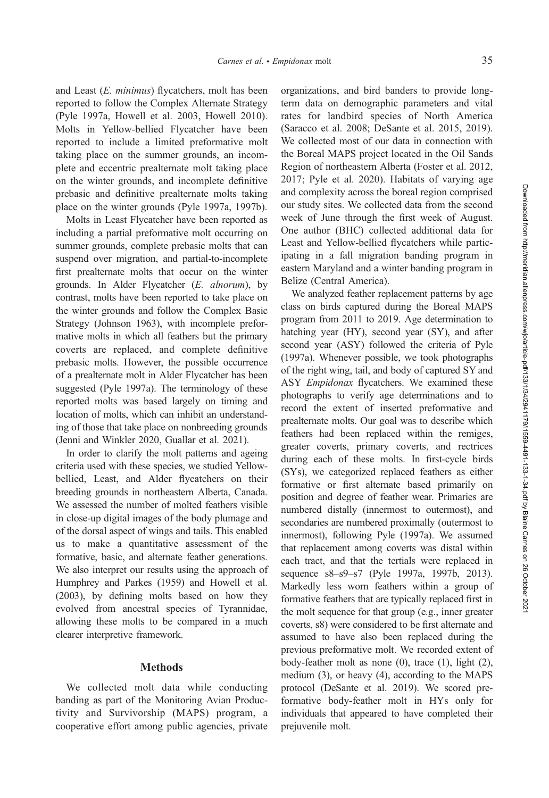and Least (E. minimus) flycatchers, molt has been reported to follow the Complex Alternate Strategy (Pyle 1997a, Howell et al. 2003, Howell 2010). Molts in Yellow-bellied Flycatcher have been reported to include a limited preformative molt taking place on the summer grounds, an incomplete and eccentric prealternate molt taking place on the winter grounds, and incomplete definitive prebasic and definitive prealternate molts taking place on the winter grounds (Pyle 1997a, 1997b).

Molts in Least Flycatcher have been reported as including a partial preformative molt occurring on summer grounds, complete prebasic molts that can suspend over migration, and partial-to-incomplete first prealternate molts that occur on the winter grounds. In Alder Flycatcher (E. alnorum), by contrast, molts have been reported to take place on the winter grounds and follow the Complex Basic Strategy (Johnson 1963), with incomplete preformative molts in which all feathers but the primary coverts are replaced, and complete definitive prebasic molts. However, the possible occurrence of a prealternate molt in Alder Flycatcher has been suggested (Pyle 1997a). The terminology of these reported molts was based largely on timing and location of molts, which can inhibit an understanding of those that take place on nonbreeding grounds (Jenni and Winkler 2020, Guallar et al. 2021).

In order to clarify the molt patterns and ageing criteria used with these species, we studied Yellowbellied, Least, and Alder flycatchers on their breeding grounds in northeastern Alberta, Canada. We assessed the number of molted feathers visible in close-up digital images of the body plumage and of the dorsal aspect of wings and tails. This enabled us to make a quantitative assessment of the formative, basic, and alternate feather generations. We also interpret our results using the approach of Humphrey and Parkes (1959) and Howell et al. (2003), by defining molts based on how they evolved from ancestral species of Tyrannidae, allowing these molts to be compared in a much clearer interpretive framework.

### Methods

We collected molt data while conducting banding as part of the Monitoring Avian Productivity and Survivorship (MAPS) program, a cooperative effort among public agencies, private

organizations, and bird banders to provide longterm data on demographic parameters and vital rates for landbird species of North America (Saracco et al. 2008; DeSante et al. 2015, 2019). We collected most of our data in connection with the Boreal MAPS project located in the Oil Sands Region of northeastern Alberta (Foster et al. 2012, 2017; Pyle et al. 2020). Habitats of varying age and complexity across the boreal region comprised our study sites. We collected data from the second week of June through the first week of August. One author (BHC) collected additional data for Least and Yellow-bellied flycatchers while participating in a fall migration banding program in eastern Maryland and a winter banding program in Belize (Central America).

We analyzed feather replacement patterns by age class on birds captured during the Boreal MAPS program from 2011 to 2019. Age determination to hatching year (HY), second year (SY), and after second year (ASY) followed the criteria of Pyle (1997a). Whenever possible, we took photographs of the right wing, tail, and body of captured SY and ASY Empidonax flycatchers. We examined these photographs to verify age determinations and to record the extent of inserted preformative and prealternate molts. Our goal was to describe which feathers had been replaced within the remiges, greater coverts, primary coverts, and rectrices during each of these molts. In first-cycle birds (SYs), we categorized replaced feathers as either formative or first alternate based primarily on position and degree of feather wear. Primaries are numbered distally (innermost to outermost), and secondaries are numbered proximally (outermost to innermost), following Pyle (1997a). We assumed that replacement among coverts was distal within each tract, and that the tertials were replaced in sequence s8–s9–s7 (Pyle 1997a, 1997b, 2013). Markedly less worn feathers within a group of formative feathers that are typically replaced first in the molt sequence for that group (e.g., inner greater coverts, s8) were considered to be first alternate and assumed to have also been replaced during the previous preformative molt. We recorded extent of body-feather molt as none (0), trace (1), light (2), medium (3), or heavy (4), according to the MAPS protocol (DeSante et al. 2019). We scored preformative body-feather molt in HYs only for individuals that appeared to have completed their prejuvenile molt.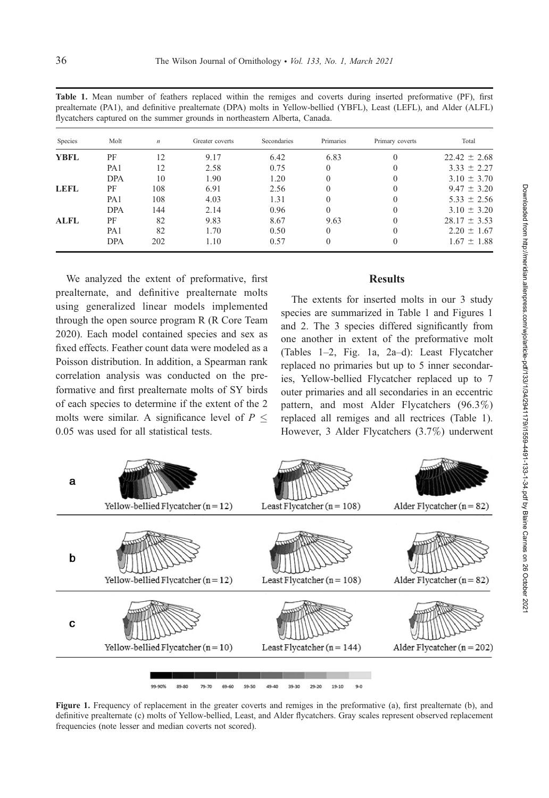| Species     | Molt            | n   | Greater coverts | Secondaries | Primaries | Primary coverts | Total            |
|-------------|-----------------|-----|-----------------|-------------|-----------|-----------------|------------------|
| <b>YBFL</b> | PF              | 12  | 9.17            | 6.42        | 6.83      | $\Omega$        | $22.42 \pm 2.68$ |
|             | PA <sub>1</sub> | 12  | 2.58            | 0.75        | $\Omega$  |                 | $3.33 \pm 2.27$  |
|             | <b>DPA</b>      | 10  | 1.90            | 1.20        | $\Omega$  |                 | $3.10 \pm 3.70$  |
| <b>LEFL</b> | PF              | 108 | 6.91            | 2.56        | $\Omega$  |                 | $9.47 \pm 3.20$  |
|             | PA <sub>1</sub> | 108 | 4.03            | 1.31        | $\Omega$  | $\Omega$        | $5.33 \pm 2.56$  |
|             | <b>DPA</b>      | 144 | 2.14            | 0.96        | $\Omega$  |                 | $3.10 \pm 3.20$  |
| <b>ALFL</b> | PF              | 82  | 9.83            | 8.67        | 9.63      |                 | $28.17 \pm 3.53$ |
|             | PA <sub>1</sub> | 82  | 1.70            | 0.50        | $\Omega$  |                 | $2.20 \pm 1.67$  |
|             | <b>DPA</b>      | 202 | 1.10            | 0.57        | $\theta$  |                 | $1.67 \pm 1.88$  |

Table 1. Mean number of feathers replaced within the remiges and coverts during inserted preformative (PF), first prealternate (PA1), and definitive prealternate (DPA) molts in Yellow-bellied (YBFL), Least (LEFL), and Alder (ALFL) flycatchers captured on the summer grounds in northeastern Alberta, Canada.

We analyzed the extent of preformative, first prealternate, and definitive prealternate molts using generalized linear models implemented through the open source program R (R Core Team 2020). Each model contained species and sex as fixed effects. Feather count data were modeled as a Poisson distribution. In addition, a Spearman rank correlation analysis was conducted on the preformative and first prealternate molts of SY birds of each species to determine if the extent of the 2 molts were similar. A significance level of  $P \leq$ 0.05 was used for all statistical tests.

### **Results**

The extents for inserted molts in our 3 study species are summarized in Table 1 and Figures 1 and 2. The 3 species differed significantly from one another in extent of the preformative molt (Tables 1–2, Fig. 1a, 2a–d): Least Flycatcher replaced no primaries but up to 5 inner secondaries, Yellow-bellied Flycatcher replaced up to 7 outer primaries and all secondaries in an eccentric pattern, and most Alder Flycatchers (96.3%) replaced all remiges and all rectrices (Table 1). However, 3 Alder Flycatchers (3.7%) underwent



Figure 1. Frequency of replacement in the greater coverts and remiges in the preformative (a), first prealternate (b), and definitive prealternate (c) molts of Yellow-bellied, Least, and Alder flycatchers. Gray scales represent observed replacement frequencies (note lesser and median coverts not scored).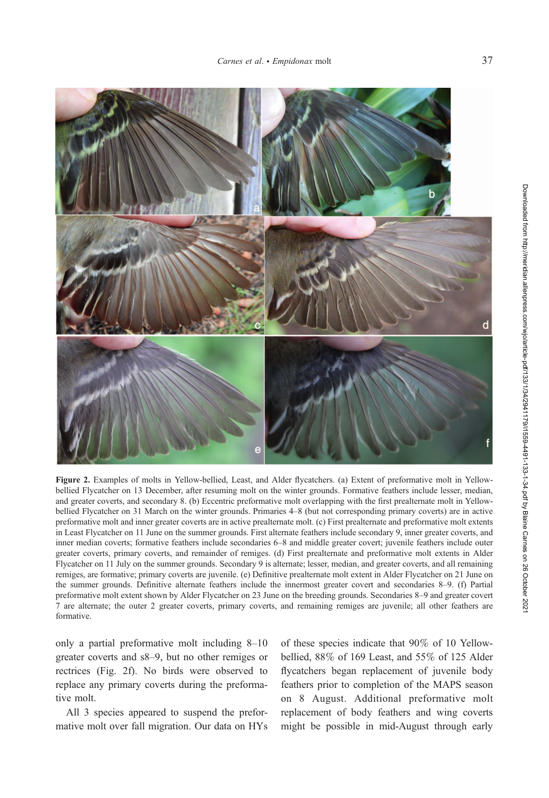

Figure 2. Examples of molts in Yellow-bellied, Least, and Alder flycatchers. (a) Extent of preformative molt in Yellowbellied Flycatcher on 13 December, after resuming molt on the winter grounds. Formative feathers include lesser, median, and greater coverts, and secondary 8. (b) Eccentric preformative molt overlapping with the first prealternate molt in Yellowbellied Flycatcher on 31 March on the winter grounds. Primaries 4–8 (but not corresponding primary coverts) are in active preformative molt and inner greater coverts are in active prealternate molt. (c) First prealternate and preformative molt extents in Least Flycatcher on 11 June on the summer grounds. First alternate feathers include secondary 9, inner greater coverts, and inner median coverts; formative feathers include secondaries 6–8 and middle greater covert; juvenile feathers include outer greater coverts, primary coverts, and remainder of remiges. (d) First prealternate and preformative molt extents in Alder Flycatcher on 11 July on the summer grounds. Secondary 9 is alternate; lesser, median, and greater coverts, and all remaining remiges, are formative; primary coverts are juvenile. (e) Definitive prealternate molt extent in Alder Flycatcher on 21 June on the summer grounds. Definitive alternate feathers include the innermost greater covert and secondaries 8–9. (f) Partial preformative molt extent shown by Alder Flycatcher on 23 June on the breeding grounds. Secondaries 8–9 and greater covert 7 are alternate; the outer 2 greater coverts, primary coverts, and remaining remiges are juvenile; all other feathers are formative.

only a partial preformative molt including 8–10 greater coverts and s8–9, but no other remiges or rectrices (Fig. 2f). No birds were observed to replace any primary coverts during the preformative molt.

All 3 species appeared to suspend the preformative molt over fall migration. Our data on HYs of these species indicate that 90% of 10 Yellowbellied, 88% of 169 Least, and 55% of 125 Alder flycatchers began replacement of juvenile body feathers prior to completion of the MAPS season on 8 August. Additional preformative molt replacement of body feathers and wing coverts might be possible in mid-August through early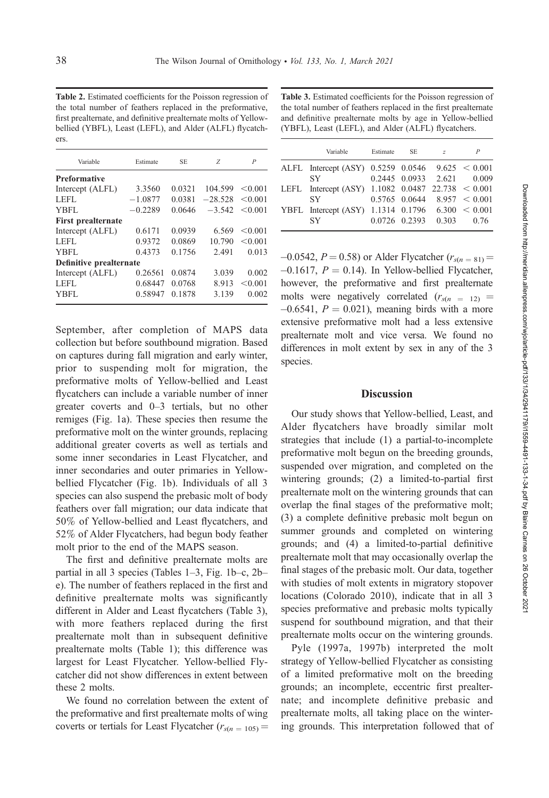Table 2. Estimated coefficients for the Poisson regression of the total number of feathers replaced in the preformative, first prealternate, and definitive prealternate molts of Yellowbellied (YBFL), Least (LEFL), and Alder (ALFL) flycatchers.

| Variable                  | Estimate  | <b>SE</b> | Z         | $\overline{P}$ |
|---------------------------|-----------|-----------|-----------|----------------|
| <b>Preformative</b>       |           |           |           |                |
| Intercept (ALFL)          | 3.3560    | 0.0321    | 104.599   | < 0.001        |
| LEFL                      | $-1.0877$ | 0.0381    | $-28.528$ | < 0.001        |
| YBFL                      | $-0.2289$ | 0.0646    | $-3.542$  | < 0.001        |
| <b>First prealternate</b> |           |           |           |                |
| Intercept (ALFL)          | 0.6171    | 0.0939    | 6.569     | < 0.001        |
| LEFL                      | 0.9372    | 0.0869    | 10.790    | < 0.001        |
| YBFL                      | 0.4373    | 0.1756    | 2.491     | 0.013          |
| Definitive prealternate   |           |           |           |                |
| Intercept (ALFL)          | 0.26561   | 0.0874    | 3.039     | 0.002          |
| LEFL                      | 0.68447   | 0.0768    | 8.913     | < 0.001        |
| YBFL                      | 0.58947   | 0.1878    | 3.139     | 0.002          |

September, after completion of MAPS data collection but before southbound migration. Based on captures during fall migration and early winter, prior to suspending molt for migration, the preformative molts of Yellow-bellied and Least flycatchers can include a variable number of inner greater coverts and 0–3 tertials, but no other remiges (Fig. 1a). These species then resume the preformative molt on the winter grounds, replacing additional greater coverts as well as tertials and some inner secondaries in Least Flycatcher, and inner secondaries and outer primaries in Yellowbellied Flycatcher (Fig. 1b). Individuals of all 3 species can also suspend the prebasic molt of body feathers over fall migration; our data indicate that 50% of Yellow-bellied and Least flycatchers, and 52% of Alder Flycatchers, had begun body feather molt prior to the end of the MAPS season.

The first and definitive prealternate molts are partial in all 3 species (Tables 1–3, Fig. 1b–c, 2b– e). The number of feathers replaced in the first and definitive prealternate molts was significantly different in Alder and Least flycatchers (Table 3), with more feathers replaced during the first prealternate molt than in subsequent definitive prealternate molts (Table 1); this difference was largest for Least Flycatcher. Yellow-bellied Flycatcher did not show differences in extent between these 2 molts.

We found no correlation between the extent of the preformative and first prealternate molts of wing coverts or tertials for Least Flycatcher ( $r_{s(n = 105)}$  =

Table 3. Estimated coefficients for the Poisson regression of the total number of feathers replaced in the first prealternate and definitive prealternate molts by age in Yellow-bellied (YBFL), Least (LEFL), and Alder (ALFL) flycatchers.

|  | Variable                                               | Estimate | - SE | Z |                                  |
|--|--------------------------------------------------------|----------|------|---|----------------------------------|
|  | ALFL Intercept (ASY) $0.5259$ $0.0546$ $9.625 < 0.001$ |          |      |   |                                  |
|  | <b>SY</b>                                              |          |      |   | 0.2445 0.0933 2.621 0.009        |
|  | LEFL Intercept (ASY) $1.1082$ 0.0487 22.738 < 0.001    |          |      |   |                                  |
|  | <b>SY</b>                                              |          |      |   | $0.5765$ 0.0644 8.957 < 0.001    |
|  | YBFL Intercept (ASY) 1.1314 $0.1796$ 6.300 < 0.001     |          |      |   |                                  |
|  | <b>SY</b>                                              |          |      |   | $0.0726$ $0.2393$ $0.303$ $0.76$ |
|  |                                                        |          |      |   |                                  |

 $-0.0542$ ,  $P = 0.58$ ) or Alder Flycatcher ( $r_{s(n = 81)} =$  $-0.1617$ ,  $P = 0.14$ ). In Yellow-bellied Flycatcher, however, the preformative and first prealternate molts were negatively correlated  $(r<sub>s(n = 12)</sub> =$  $-0.6541$ ,  $P = 0.021$ ), meaning birds with a more extensive preformative molt had a less extensive prealternate molt and vice versa. We found no differences in molt extent by sex in any of the 3 species.

#### **Discussion**

Our study shows that Yellow-bellied, Least, and Alder flycatchers have broadly similar molt strategies that include (1) a partial-to-incomplete preformative molt begun on the breeding grounds, suspended over migration, and completed on the wintering grounds; (2) a limited-to-partial first prealternate molt on the wintering grounds that can overlap the final stages of the preformative molt; (3) a complete definitive prebasic molt begun on summer grounds and completed on wintering grounds; and (4) a limited-to-partial definitive prealternate molt that may occasionally overlap the final stages of the prebasic molt. Our data, together with studies of molt extents in migratory stopover locations (Colorado 2010), indicate that in all 3 species preformative and prebasic molts typically suspend for southbound migration, and that their prealternate molts occur on the wintering grounds.

Pyle (1997a, 1997b) interpreted the molt strategy of Yellow-bellied Flycatcher as consisting of a limited preformative molt on the breeding grounds; an incomplete, eccentric first prealternate; and incomplete definitive prebasic and prealternate molts, all taking place on the wintering grounds. This interpretation followed that of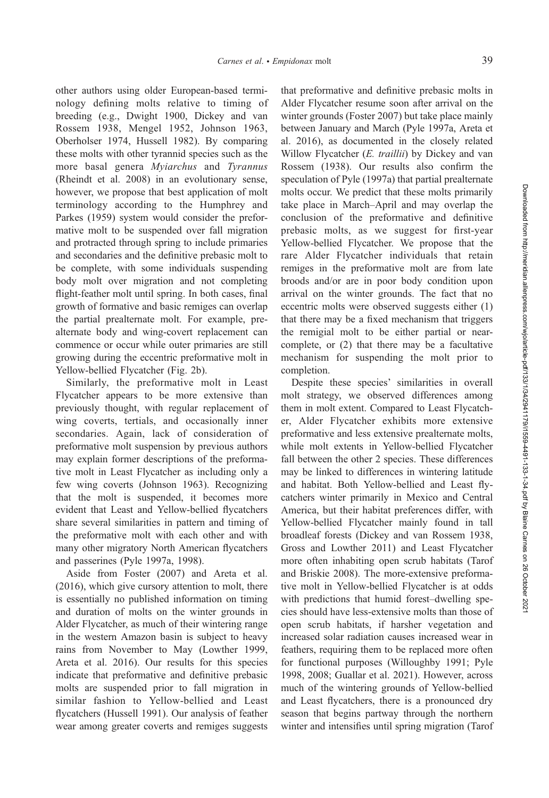other authors using older European-based terminology defining molts relative to timing of breeding (e.g., Dwight 1900, Dickey and van Rossem 1938, Mengel 1952, Johnson 1963, Oberholser 1974, Hussell 1982). By comparing these molts with other tyrannid species such as the more basal genera Myiarchus and Tyrannus (Rheindt et al. 2008) in an evolutionary sense, however, we propose that best application of molt terminology according to the Humphrey and Parkes (1959) system would consider the preformative molt to be suspended over fall migration and protracted through spring to include primaries and secondaries and the definitive prebasic molt to be complete, with some individuals suspending body molt over migration and not completing flight-feather molt until spring. In both cases, final growth of formative and basic remiges can overlap the partial prealternate molt. For example, prealternate body and wing-covert replacement can commence or occur while outer primaries are still growing during the eccentric preformative molt in Yellow-bellied Flycatcher (Fig. 2b).

Similarly, the preformative molt in Least Flycatcher appears to be more extensive than previously thought, with regular replacement of wing coverts, tertials, and occasionally inner secondaries. Again, lack of consideration of preformative molt suspension by previous authors may explain former descriptions of the preformative molt in Least Flycatcher as including only a few wing coverts (Johnson 1963). Recognizing that the molt is suspended, it becomes more evident that Least and Yellow-bellied flycatchers share several similarities in pattern and timing of the preformative molt with each other and with many other migratory North American flycatchers and passerines (Pyle 1997a, 1998).

Aside from Foster (2007) and Areta et al. (2016), which give cursory attention to molt, there is essentially no published information on timing and duration of molts on the winter grounds in Alder Flycatcher, as much of their wintering range in the western Amazon basin is subject to heavy rains from November to May (Lowther 1999, Areta et al. 2016). Our results for this species indicate that preformative and definitive prebasic molts are suspended prior to fall migration in similar fashion to Yellow-bellied and Least flycatchers (Hussell 1991). Our analysis of feather wear among greater coverts and remiges suggests

that preformative and definitive prebasic molts in Alder Flycatcher resume soon after arrival on the winter grounds (Foster 2007) but take place mainly between January and March (Pyle 1997a, Areta et al. 2016), as documented in the closely related Willow Flycatcher (*E. traillii*) by Dickey and van Rossem (1938). Our results also confirm the speculation of Pyle (1997a) that partial prealternate molts occur. We predict that these molts primarily take place in March–April and may overlap the conclusion of the preformative and definitive prebasic molts, as we suggest for first-year Yellow-bellied Flycatcher. We propose that the rare Alder Flycatcher individuals that retain remiges in the preformative molt are from late broods and/or are in poor body condition upon arrival on the winter grounds. The fact that no eccentric molts were observed suggests either (1) that there may be a fixed mechanism that triggers the remigial molt to be either partial or nearcomplete, or (2) that there may be a facultative mechanism for suspending the molt prior to completion.

Despite these species' similarities in overall molt strategy, we observed differences among them in molt extent. Compared to Least Flycatcher, Alder Flycatcher exhibits more extensive preformative and less extensive prealternate molts, while molt extents in Yellow-bellied Flycatcher fall between the other 2 species. These differences may be linked to differences in wintering latitude and habitat. Both Yellow-bellied and Least flycatchers winter primarily in Mexico and Central America, but their habitat preferences differ, with Yellow-bellied Flycatcher mainly found in tall broadleaf forests (Dickey and van Rossem 1938, Gross and Lowther 2011) and Least Flycatcher more often inhabiting open scrub habitats (Tarof and Briskie 2008). The more-extensive preformative molt in Yellow-bellied Flycatcher is at odds with predictions that humid forest–dwelling species should have less-extensive molts than those of open scrub habitats, if harsher vegetation and increased solar radiation causes increased wear in feathers, requiring them to be replaced more often for functional purposes (Willoughby 1991; Pyle 1998, 2008; Guallar et al. 2021). However, across much of the wintering grounds of Yellow-bellied and Least flycatchers, there is a pronounced dry season that begins partway through the northern winter and intensifies until spring migration (Tarof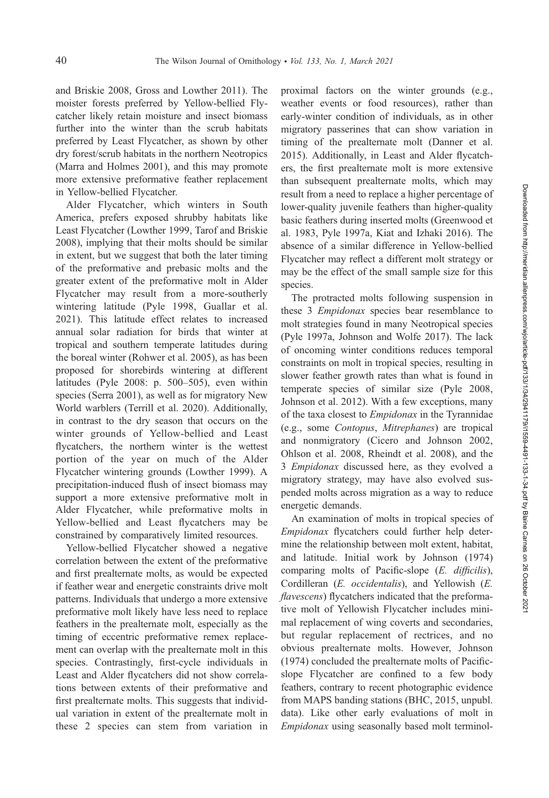and Briskie 2008, Gross and Lowther 2011). The moister forests preferred by Yellow-bellied Flycatcher likely retain moisture and insect biomass further into the winter than the scrub habitats preferred by Least Flycatcher, as shown by other dry forest/scrub habitats in the northern Neotropics (Marra and Holmes 2001), and this may promote more extensive preformative feather replacement in Yellow-bellied Flycatcher.

Alder Flycatcher, which winters in South America, prefers exposed shrubby habitats like Least Flycatcher (Lowther 1999, Tarof and Briskie 2008), implying that their molts should be similar in extent, but we suggest that both the later timing of the preformative and prebasic molts and the greater extent of the preformative molt in Alder Flycatcher may result from a more-southerly wintering latitude (Pyle 1998, Guallar et al. 2021). This latitude effect relates to increased annual solar radiation for birds that winter at tropical and southern temperate latitudes during the boreal winter (Rohwer et al. 2005), as has been proposed for shorebirds wintering at different latitudes (Pyle 2008: p. 500–505), even within species (Serra 2001), as well as for migratory New World warblers (Terrill et al. 2020). Additionally, in contrast to the dry season that occurs on the winter grounds of Yellow-bellied and Least flycatchers, the northern winter is the wettest portion of the year on much of the Alder Flycatcher wintering grounds (Lowther 1999). A precipitation-induced flush of insect biomass may support a more extensive preformative molt in Alder Flycatcher, while preformative molts in Yellow-bellied and Least flycatchers may be constrained by comparatively limited resources.

Yellow-bellied Flycatcher showed a negative correlation between the extent of the preformative and first prealternate molts, as would be expected if feather wear and energetic constraints drive molt patterns. Individuals that undergo a more extensive preformative molt likely have less need to replace feathers in the prealternate molt, especially as the timing of eccentric preformative remex replacement can overlap with the prealternate molt in this species. Contrastingly, first-cycle individuals in Least and Alder flycatchers did not show correlations between extents of their preformative and first prealternate molts. This suggests that individual variation in extent of the prealternate molt in these 2 species can stem from variation in

proximal factors on the winter grounds (e.g., weather events or food resources), rather than early-winter condition of individuals, as in other migratory passerines that can show variation in timing of the prealternate molt (Danner et al. 2015). Additionally, in Least and Alder flycatchers, the first prealternate molt is more extensive than subsequent prealternate molts, which may result from a need to replace a higher percentage of lower-quality juvenile feathers than higher-quality basic feathers during inserted molts (Greenwood et al. 1983, Pyle 1997a, Kiat and Izhaki 2016). The absence of a similar difference in Yellow-bellied Flycatcher may reflect a different molt strategy or may be the effect of the small sample size for this species.

The protracted molts following suspension in these 3 Empidonax species bear resemblance to molt strategies found in many Neotropical species (Pyle 1997a, Johnson and Wolfe 2017). The lack of oncoming winter conditions reduces temporal constraints on molt in tropical species, resulting in slower feather growth rates than what is found in temperate species of similar size (Pyle 2008, Johnson et al. 2012). With a few exceptions, many of the taxa closest to Empidonax in the Tyrannidae (e.g., some Contopus, Mitrephanes) are tropical and nonmigratory (Cicero and Johnson 2002, Ohlson et al. 2008, Rheindt et al. 2008), and the 3 Empidonax discussed here, as they evolved a migratory strategy, may have also evolved suspended molts across migration as a way to reduce energetic demands.

An examination of molts in tropical species of Empidonax flycatchers could further help determine the relationship between molt extent, habitat, and latitude. Initial work by Johnson (1974) comparing molts of Pacific-slope (E. difficilis), Cordilleran (E. occidentalis), and Yellowish (E. flavescens) flycatchers indicated that the preformative molt of Yellowish Flycatcher includes minimal replacement of wing coverts and secondaries, but regular replacement of rectrices, and no obvious prealternate molts. However, Johnson (1974) concluded the prealternate molts of Pacificslope Flycatcher are confined to a few body feathers, contrary to recent photographic evidence from MAPS banding stations (BHC, 2015, unpubl. data). Like other early evaluations of molt in Empidonax using seasonally based molt terminol-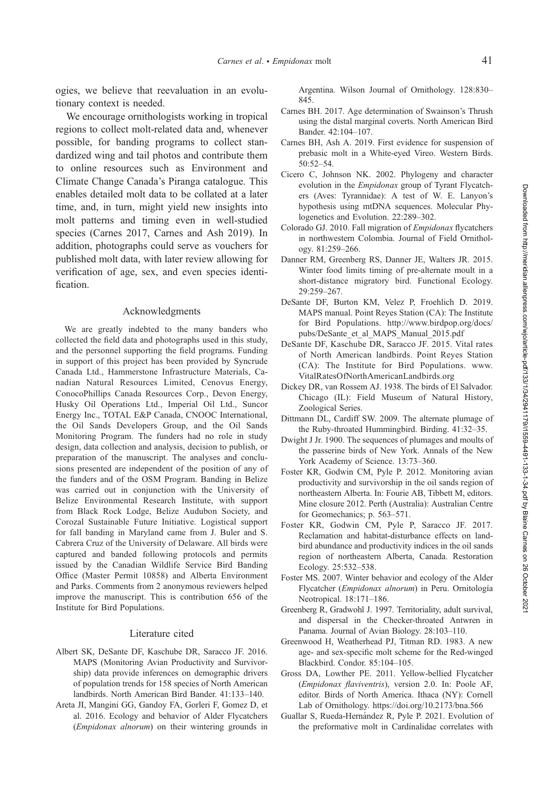ogies, we believe that reevaluation in an evolutionary context is needed.

We encourage ornithologists working in tropical regions to collect molt-related data and, whenever possible, for banding programs to collect standardized wing and tail photos and contribute them to online resources such as Environment and Climate Change Canada's Piranga catalogue. This enables detailed molt data to be collated at a later time, and, in turn, might yield new insights into molt patterns and timing even in well-studied species (Carnes 2017, Carnes and Ash 2019). In addition, photographs could serve as vouchers for published molt data, with later review allowing for verification of age, sex, and even species identification.

#### Acknowledgments

We are greatly indebted to the many banders who collected the field data and photographs used in this study, and the personnel supporting the field programs. Funding in support of this project has been provided by Syncrude Canada Ltd., Hammerstone Infrastructure Materials, Canadian Natural Resources Limited, Cenovus Energy, ConocoPhillips Canada Resources Corp., Devon Energy, Husky Oil Operations Ltd., Imperial Oil Ltd., Suncor Energy Inc., TOTAL E&P Canada, CNOOC International, the Oil Sands Developers Group, and the Oil Sands Monitoring Program. The funders had no role in study design, data collection and analysis, decision to publish, or preparation of the manuscript. The analyses and conclusions presented are independent of the position of any of the funders and of the OSM Program. Banding in Belize was carried out in conjunction with the University of Belize Environmental Research Institute, with support from Black Rock Lodge, Belize Audubon Society, and Corozal Sustainable Future Initiative. Logistical support for fall banding in Maryland came from J. Buler and S. Cabrera Cruz of the University of Delaware. All birds were captured and banded following protocols and permits issued by the Canadian Wildlife Service Bird Banding Office (Master Permit 10858) and Alberta Environment and Parks. Comments from 2 anonymous reviewers helped improve the manuscript. This is contribution 656 of the Institute for Bird Populations.

### Literature cited

- Albert SK, DeSante DF, Kaschube DR, Saracco JF. 2016. MAPS (Monitoring Avian Productivity and Survivorship) data provide inferences on demographic drivers of population trends for 158 species of North American landbirds. North American Bird Bander. 41:133–140.
- Areta JI, Mangini GG, Gandoy FA, Gorleri F, Gomez D, et al. 2016. Ecology and behavior of Alder Flycatchers (Empidonax alnorum) on their wintering grounds in

Argentina. Wilson Journal of Ornithology. 128:830– 845.

- Carnes BH. 2017. Age determination of Swainson's Thrush using the distal marginal coverts. North American Bird Bander. 42:104–107.
- Carnes BH, Ash A. 2019. First evidence for suspension of prebasic molt in a White-eyed Vireo. Western Birds. 50:52–54.
- Cicero C, Johnson NK. 2002. Phylogeny and character evolution in the Empidonax group of Tyrant Flycatchers (Aves: Tyrannidae): A test of W. E. Lanyon's hypothesis using mtDNA sequences. Molecular Phylogenetics and Evolution. 22:289–302.
- Colorado GJ. 2010. Fall migration of Empidonax flycatchers in northwestern Colombia. Journal of Field Ornithology. 81:259–266.
- Danner RM, Greenberg RS, Danner JE, Walters JR. 2015. Winter food limits timing of pre-alternate moult in a short-distance migratory bird. Functional Ecology. 29:259–267.
- DeSante DF, Burton KM, Velez P, Froehlich D. 2019. MAPS manual. Point Reyes Station (CA): The Institute for Bird Populations. http://www.birdpop.org/docs/ pubs/DeSante\_et\_al\_MAPS\_Manual\_2015.pdf
- DeSante DF, Kaschube DR, Saracco JF. 2015. Vital rates of North American landbirds. Point Reyes Station (CA): The Institute for Bird Populations. www. VitalRatesOfNorthAmericanLandbirds.org
- Dickey DR, van Rossem AJ. 1938. The birds of El Salvador. Chicago (IL): Field Museum of Natural History, Zoological Series.
- Dittmann DL, Cardiff SW. 2009. The alternate plumage of the Ruby-throated Hummingbird. Birding. 41:32–35.
- Dwight J Jr. 1900. The sequences of plumages and moults of the passerine birds of New York. Annals of the New York Academy of Science. 13:73–360.
- Foster KR, Godwin CM, Pyle P. 2012. Monitoring avian productivity and survivorship in the oil sands region of northeastern Alberta. In: Fourie AB, Tibbett M, editors. Mine closure 2012. Perth (Australia): Australian Centre for Geomechanics; p. 563–571.
- Foster KR, Godwin CM, Pyle P, Saracco JF. 2017. Reclamation and habitat-disturbance effects on landbird abundance and productivity indices in the oil sands region of northeastern Alberta, Canada. Restoration Ecology. 25:532–538.
- Foster MS. 2007. Winter behavior and ecology of the Alder Flycatcher (Empidonax alnorum) in Peru. Ornitología Neotropical. 18:171–186.
- Greenberg R, Gradwohl J. 1997. Territoriality, adult survival, and dispersal in the Checker-throated Antwren in Panama. Journal of Avian Biology. 28:103–110.
- Greenwood H, Weatherhead PJ, Titman RD. 1983. A new age- and sex-specific molt scheme for the Red-winged Blackbird. Condor. 85:104–105.
- Gross DA, Lowther PE. 2011. Yellow-bellied Flycatcher (Empidonax flaviventris), version 2.0. In: Poole AF, editor. Birds of North America. Ithaca (NY): Cornell Lab of Ornithology. https://doi.org/10.2173/bna.566
- Guallar S, Rueda-Hernández R, Pyle P. 2021. Evolution of the preformative molt in Cardinalidae correlates with